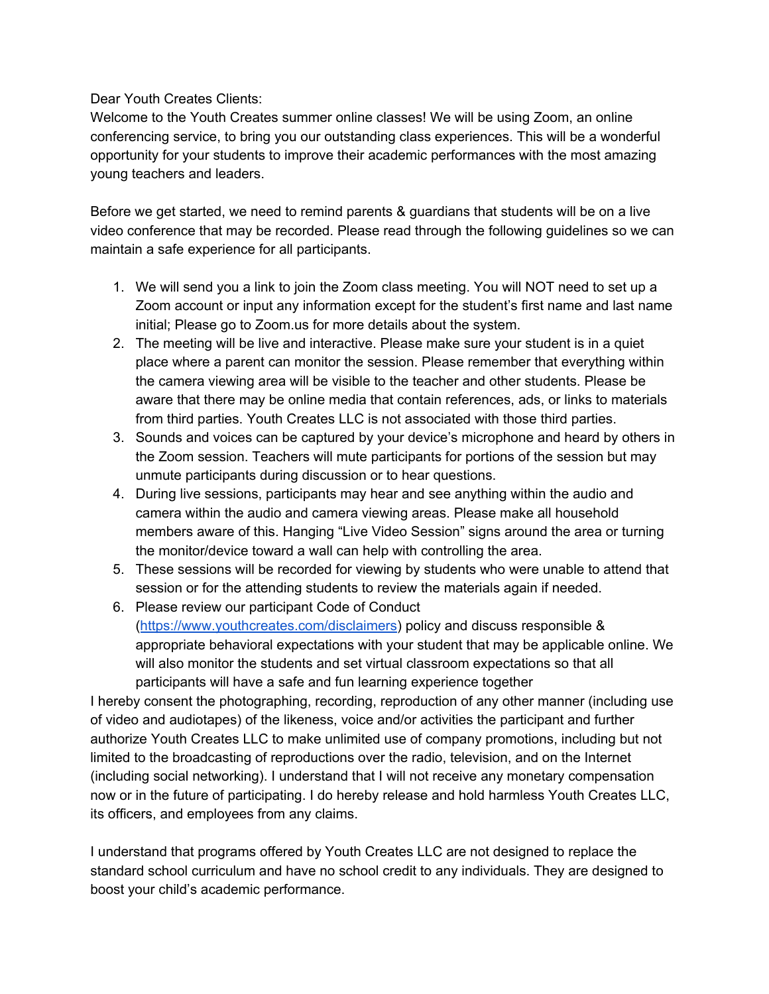Dear Youth Creates Clients:

Welcome to the Youth Creates summer online classes! We will be using Zoom, an online conferencing service, to bring you our outstanding class experiences. This will be a wonderful opportunity for your students to improve their academic performances with the most amazing young teachers and leaders.

Before we get started, we need to remind parents & guardians that students will be on a live video conference that may be recorded. Please read through the following guidelines so we can maintain a safe experience for all participants.

- 1. We will send you a link to join the Zoom class meeting. You will NOT need to set up a Zoom account or input any information except for the student's first name and last name initial; Please go to Zoom.us for more details about the system.
- 2. The meeting will be live and interactive. Please make sure your student is in a quiet place where a parent can monitor the session. Please remember that everything within the camera viewing area will be visible to the teacher and other students. Please be aware that there may be online media that contain references, ads, or links to materials from third parties. Youth Creates LLC is not associated with those third parties.
- 3. Sounds and voices can be captured by your device's microphone and heard by others in the Zoom session. Teachers will mute participants for portions of the session but may unmute participants during discussion or to hear questions.
- 4. During live sessions, participants may hear and see anything within the audio and camera within the audio and camera viewing areas. Please make all household members aware of this. Hanging "Live Video Session" signs around the area or turning the monitor/device toward a wall can help with controlling the area.
- 5. These sessions will be recorded for viewing by students who were unable to attend that session or for the attending students to review the materials again if needed.
- 6. Please review our participant Code of Conduct (<https://www.youthcreates.com/disclaimers>) policy and discuss responsible & appropriate behavioral expectations with your student that may be applicable online. We will also monitor the students and set virtual classroom expectations so that all participants will have a safe and fun learning experience together

I hereby consent the photographing, recording, reproduction of any other manner (including use of video and audiotapes) of the likeness, voice and/or activities the participant and further authorize Youth Creates LLC to make unlimited use of company promotions, including but not limited to the broadcasting of reproductions over the radio, television, and on the Internet (including social networking). I understand that I will not receive any monetary compensation now or in the future of participating. I do hereby release and hold harmless Youth Creates LLC, its officers, and employees from any claims.

I understand that programs offered by Youth Creates LLC are not designed to replace the standard school curriculum and have no school credit to any individuals. They are designed to boost your child's academic performance.